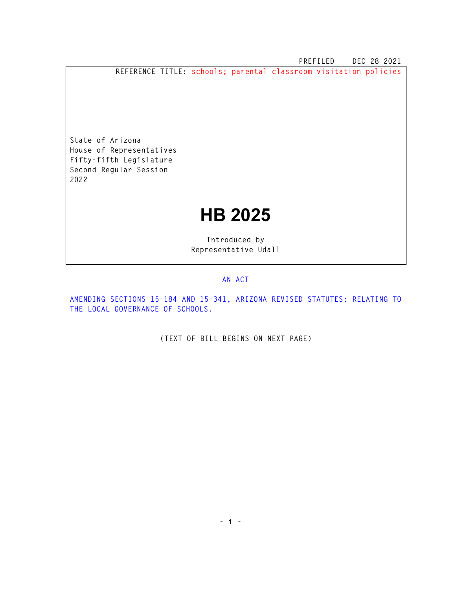**PREFILED DEC 28 2021** 

**REFERENCE TITLE: schools; parental classroom visitation policies** 

**State of Arizona House of Representatives Fifty-fifth Legislature Second Regular Session 2022** 

## **HB 2025**

**Introduced by Representative Udall** 

## **AN ACT**

**AMENDING SECTIONS 15-184 AND 15-341, ARIZONA REVISED STATUTES; RELATING TO THE LOCAL GOVERNANCE OF SCHOOLS.** 

**(TEXT OF BILL BEGINS ON NEXT PAGE)**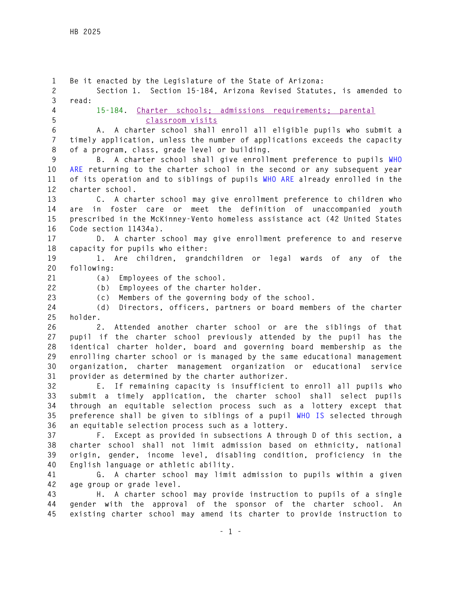**1 Be it enacted by the Legislature of the State of Arizona: 2 Section 1. Section 15-184, Arizona Revised Statutes, is amended to 3 read: 4 15-184. Charter schools; admissions requirements; parental 5 classroom visits 6 A. A charter school shall enroll all eligible pupils who submit a 7 timely application, unless the number of applications exceeds the capacity 8 of a program, class, grade level or building. 9 B. A charter school shall give enrollment preference to pupils WHO 10 ARE returning to the charter school in the second or any subsequent year 11 of its operation and to siblings of pupils WHO ARE already enrolled in the 12 charter school. 13 C. A charter school may give enrollment preference to children who 14 are in foster care or meet the definition of unaccompanied youth 15 prescribed in the McKinney-Vento homeless assistance act (42 United States 16 Code section 11434a). 17 D. A charter school may give enrollment preference to and reserve 18 capacity for pupils who either: 19 1. Are children, grandchildren or legal wards of any of the 20 following: 21 (a) Employees of the school. 22 (b) Employees of the charter holder. 23 (c) Members of the governing body of the school. 24 (d) Directors, officers, partners or board members of the charter 25 holder. 26 2. Attended another charter school or are the siblings of that 27 pupil if the charter school previously attended by the pupil has the 28 identical charter holder, board and governing board membership as the 29 enrolling charter school or is managed by the same educational management 30 organization, charter management organization or educational service 31 provider as determined by the charter authorizer. 32 E. If remaining capacity is insufficient to enroll all pupils who 33 submit a timely application, the charter school shall select pupils 34 through an equitable selection process such as a lottery except that 35 preference shall be given to siblings of a pupil WHO IS selected through 36 an equitable selection process such as a lottery. 37 F. Except as provided in subsections A through D of this section, a 38 charter school shall not limit admission based on ethnicity, national 39 origin, gender, income level, disabling condition, proficiency in the 40 English language or athletic ability. 41 G. A charter school may limit admission to pupils within a given 42 age group or grade level. 43 H. A charter school may provide instruction to pupils of a single 44 gender with the approval of the sponsor of the charter school. An 45 existing charter school may amend its charter to provide instruction to**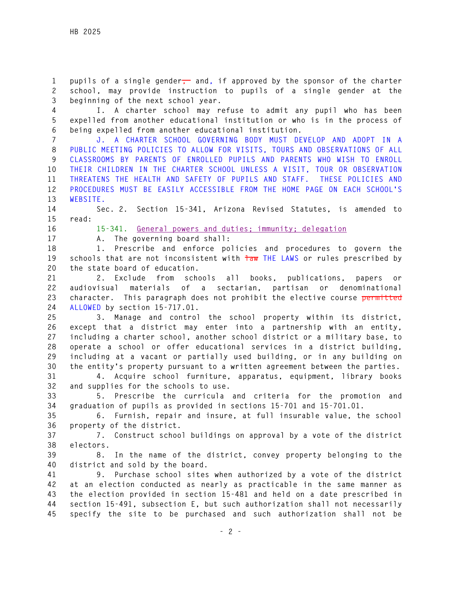1 pupils of a single gender<sub>,</sub> and, if approved by the sponsor of the charter **2 school, may provide instruction to pupils of a single gender at the 3 beginning of the next school year.** 

**4 I. A charter school may refuse to admit any pupil who has been 5 expelled from another educational institution or who is in the process of 6 being expelled from another educational institution.** 

**7 J. A CHARTER SCHOOL GOVERNING BODY MUST DEVELOP AND ADOPT IN A 8 PUBLIC MEETING POLICIES TO ALLOW FOR VISITS, TOURS AND OBSERVATIONS OF ALL 9 CLASSROOMS BY PARENTS OF ENROLLED PUPILS AND PARENTS WHO WISH TO ENROLL 10 THEIR CHILDREN IN THE CHARTER SCHOOL UNLESS A VISIT, TOUR OR OBSERVATION 11 THREATENS THE HEALTH AND SAFETY OF PUPILS AND STAFF. THESE POLICIES AND 12 PROCEDURES MUST BE EASILY ACCESSIBLE FROM THE HOME PAGE ON EACH SCHOOL'S 13 WEBSITE.** 

**14 Sec. 2. Section 15-341, Arizona Revised Statutes, is amended to 15 read:** 

**16 15-341. General powers and duties; immunity; delegation**

**17 A. The governing board shall:** 

**18 1. Prescribe and enforce policies and procedures to govern the**  19 schools that are not inconsistent with  $\frac{1}{100}$  THE LAWS or rules prescribed by **20 the state board of education.** 

**21 2. Exclude from schools all books, publications, papers or 22 audiovisual materials of a sectarian, partisan or denominational 23 character. This paragraph does not prohibit the elective course permitted 24 ALLOWED by section 15-717.01.** 

**25 3. Manage and control the school property within its district, 26 except that a district may enter into a partnership with an entity, 27 including a charter school, another school district or a military base, to 28 operate a school or offer educational services in a district building, 29 including at a vacant or partially used building, or in any building on 30 the entity's property pursuant to a written agreement between the parties.** 

**31 4. Acquire school furniture, apparatus, equipment, library books 32 and supplies for the schools to use.** 

**33 5. Prescribe the curricula and criteria for the promotion and 34 graduation of pupils as provided in sections 15-701 and 15-701.01.** 

**35 6. Furnish, repair and insure, at full insurable value, the school 36 property of the district.** 

**37 7. Construct school buildings on approval by a vote of the district 38 electors.** 

**39 8. In the name of the district, convey property belonging to the 40 district and sold by the board.** 

**41 9. Purchase school sites when authorized by a vote of the district 42 at an election conducted as nearly as practicable in the same manner as 43 the election provided in section 15-481 and held on a date prescribed in 44 section 15-491, subsection E, but such authorization shall not necessarily 45 specify the site to be purchased and such authorization shall not be**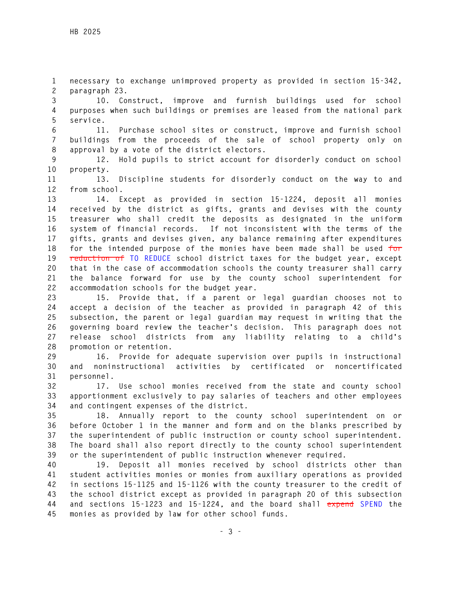**1 necessary to exchange unimproved property as provided in section 15-342, 2 paragraph 23.** 

**3 10. Construct, improve and furnish buildings used for school 4 purposes when such buildings or premises are leased from the national park 5 service.** 

**6 11. Purchase school sites or construct, improve and furnish school 7 buildings from the proceeds of the sale of school property only on 8 approval by a vote of the district electors.** 

**9 12. Hold pupils to strict account for disorderly conduct on school 10 property.** 

**11 13. Discipline students for disorderly conduct on the way to and 12 from school.** 

**13 14. Except as provided in section 15-1224, deposit all monies 14 received by the district as gifts, grants and devises with the county 15 treasurer who shall credit the deposits as designated in the uniform 16 system of financial records. If not inconsistent with the terms of the 17 gifts, grants and devises given, any balance remaining after expenditures 18 for the intended purpose of the monies have been made shall be used for 19 reduction of TO REDUCE school district taxes for the budget year, except 20 that in the case of accommodation schools the county treasurer shall carry 21 the balance forward for use by the county school superintendent for 22 accommodation schools for the budget year.** 

**23 15. Provide that, if a parent or legal guardian chooses not to 24 accept a decision of the teacher as provided in paragraph 42 of this 25 subsection, the parent or legal guardian may request in writing that the 26 governing board review the teacher's decision. This paragraph does not 27 release school districts from any liability relating to a child's 28 promotion or retention.** 

**29 16. Provide for adequate supervision over pupils in instructional 30 and noninstructional activities by certificated or noncertificated 31 personnel.** 

**32 17. Use school monies received from the state and county school 33 apportionment exclusively to pay salaries of teachers and other employees 34 and contingent expenses of the district.** 

**35 18. Annually report to the county school superintendent on or 36 before October 1 in the manner and form and on the blanks prescribed by 37 the superintendent of public instruction or county school superintendent. 38 The board shall also report directly to the county school superintendent 39 or the superintendent of public instruction whenever required.** 

**40 19. Deposit all monies received by school districts other than 41 student activities monies or monies from auxiliary operations as provided 42 in sections 15-1125 and 15-1126 with the county treasurer to the credit of 43 the school district except as provided in paragraph 20 of this subsection 44 and sections 15-1223 and 15-1224, and the board shall expend SPEND the 45 monies as provided by law for other school funds.**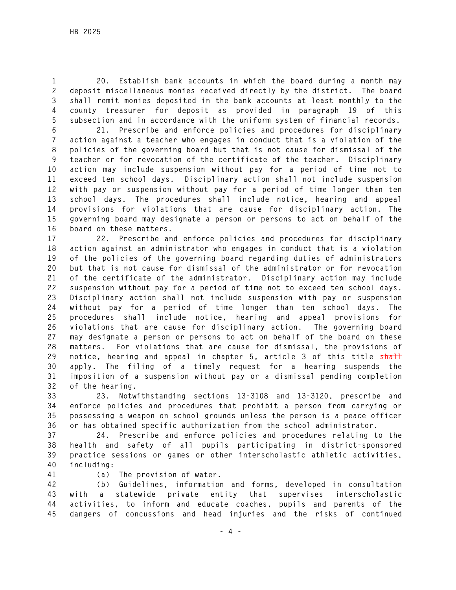**1 20. Establish bank accounts in which the board during a month may 2 deposit miscellaneous monies received directly by the district. The board 3 shall remit monies deposited in the bank accounts at least monthly to the 4 county treasurer for deposit as provided in paragraph 19 of this 5 subsection and in accordance with the uniform system of financial records.** 

**6 21. Prescribe and enforce policies and procedures for disciplinary 7 action against a teacher who engages in conduct that is a violation of the 8 policies of the governing board but that is not cause for dismissal of the 9 teacher or for revocation of the certificate of the teacher. Disciplinary 10 action may include suspension without pay for a period of time not to 11 exceed ten school days. Disciplinary action shall not include suspension 12 with pay or suspension without pay for a period of time longer than ten 13 school days. The procedures shall include notice, hearing and appeal 14 provisions for violations that are cause for disciplinary action. The 15 governing board may designate a person or persons to act on behalf of the 16 board on these matters.** 

**17 22. Prescribe and enforce policies and procedures for disciplinary 18 action against an administrator who engages in conduct that is a violation 19 of the policies of the governing board regarding duties of administrators 20 but that is not cause for dismissal of the administrator or for revocation 21 of the certificate of the administrator. Disciplinary action may include 22 suspension without pay for a period of time not to exceed ten school days. 23 Disciplinary action shall not include suspension with pay or suspension 24 without pay for a period of time longer than ten school days. The 25 procedures shall include notice, hearing and appeal provisions for 26 violations that are cause for disciplinary action. The governing board 27 may designate a person or persons to act on behalf of the board on these 28 matters. For violations that are cause for dismissal, the provisions of**  29 notice, hearing and appeal in chapter 5, article 3 of this title shall **30 apply. The filing of a timely request for a hearing suspends the 31 imposition of a suspension without pay or a dismissal pending completion 32 of the hearing.** 

**33 23. Notwithstanding sections 13-3108 and 13-3120, prescribe and 34 enforce policies and procedures that prohibit a person from carrying or 35 possessing a weapon on school grounds unless the person is a peace officer 36 or has obtained specific authorization from the school administrator.** 

**37 24. Prescribe and enforce policies and procedures relating to the 38 health and safety of all pupils participating in district-sponsored 39 practice sessions or games or other interscholastic athletic activities, 40 including:** 

- 
- **41 (a) The provision of water.**

**42 (b) Guidelines, information and forms, developed in consultation 43 with a statewide private entity that supervises interscholastic 44 activities, to inform and educate coaches, pupils and parents of the 45 dangers of concussions and head injuries and the risks of continued**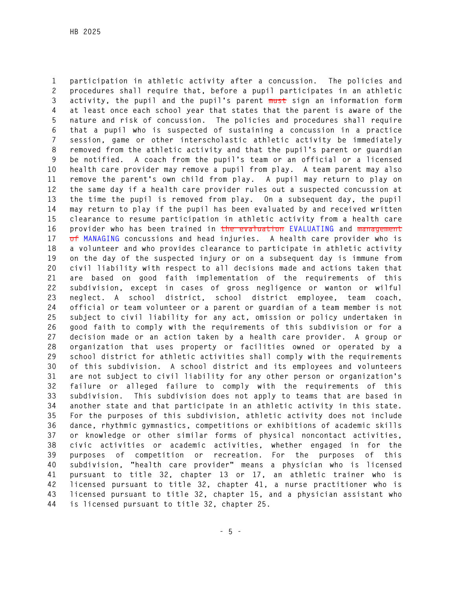**1 participation in athletic activity after a concussion. The policies and 2 procedures shall require that, before a pupil participates in an athletic 3 activity, the pupil and the pupil's parent must sign an information form 4 at least once each school year that states that the parent is aware of the 5 nature and risk of concussion. The policies and procedures shall require 6 that a pupil who is suspected of sustaining a concussion in a practice 7 session, game or other interscholastic athletic activity be immediately 8 removed from the athletic activity and that the pupil's parent or guardian 9 be notified. A coach from the pupil's team or an official or a licensed 10 health care provider may remove a pupil from play. A team parent may also 11 remove the parent's own child from play. A pupil may return to play on 12 the same day if a health care provider rules out a suspected concussion at 13 the time the pupil is removed from play. On a subsequent day, the pupil 14 may return to play if the pupil has been evaluated by and received written 15 clearance to resume participation in athletic activity from a health care 16 provider who has been trained in the evaluation EVALUATING and management 17 of MANAGING concussions and head injuries. A health care provider who is 18 a volunteer and who provides clearance to participate in athletic activity 19 on the day of the suspected injury or on a subsequent day is immune from 20 civil liability with respect to all decisions made and actions taken that 21 are based on good faith implementation of the requirements of this 22 subdivision, except in cases of gross negligence or wanton or wilful 23 neglect. A school district, school district employee, team coach, 24 official or team volunteer or a parent or guardian of a team member is not 25 subject to civil liability for any act, omission or policy undertaken in 26 good faith to comply with the requirements of this subdivision or for a 27 decision made or an action taken by a health care provider. A group or 28 organization that uses property or facilities owned or operated by a 29 school district for athletic activities shall comply with the requirements 30 of this subdivision. A school district and its employees and volunteers 31 are not subject to civil liability for any other person or organization's 32 failure or alleged failure to comply with the requirements of this 33 subdivision. This subdivision does not apply to teams that are based in 34 another state and that participate in an athletic activity in this state. 35 For the purposes of this subdivision, athletic activity does not include 36 dance, rhythmic gymnastics, competitions or exhibitions of academic skills 37 or knowledge or other similar forms of physical noncontact activities, 38 civic activities or academic activities, whether engaged in for the 39 purposes of competition or recreation. For the purposes of this 40 subdivision, "health care provider" means a physician who is licensed 41 pursuant to title 32, chapter 13 or 17, an athletic trainer who is 42 licensed pursuant to title 32, chapter 41, a nurse practitioner who is 43 licensed pursuant to title 32, chapter 15, and a physician assistant who 44 is licensed pursuant to title 32, chapter 25.**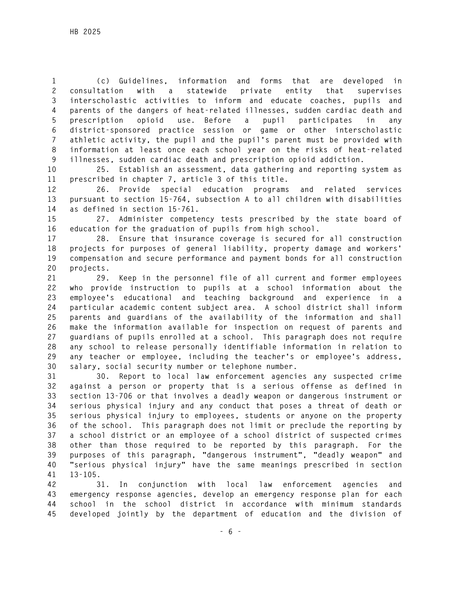**1 (c) Guidelines, information and forms that are developed in 2 consultation with a statewide private entity that supervises 3 interscholastic activities to inform and educate coaches, pupils and 4 parents of the dangers of heat-related illnesses, sudden cardiac death and 5 prescription opioid use. Before a pupil participates in any 6 district-sponsored practice session or game or other interscholastic 7 athletic activity, the pupil and the pupil's parent must be provided with 8 information at least once each school year on the risks of heat-related 9 illnesses, sudden cardiac death and prescription opioid addiction.** 

**10 25. Establish an assessment, data gathering and reporting system as 11 prescribed in chapter 7, article 3 of this title.** 

**12 26. Provide special education programs and related services 13 pursuant to section 15-764, subsection A to all children with disabilities 14 as defined in section 15-761.** 

**15 27. Administer competency tests prescribed by the state board of 16 education for the graduation of pupils from high school.** 

**17 28. Ensure that insurance coverage is secured for all construction 18 projects for purposes of general liability, property damage and workers' 19 compensation and secure performance and payment bonds for all construction 20 projects.** 

**21 29. Keep in the personnel file of all current and former employees 22 who provide instruction to pupils at a school information about the 23 employee's educational and teaching background and experience in a 24 particular academic content subject area. A school district shall inform 25 parents and guardians of the availability of the information and shall 26 make the information available for inspection on request of parents and 27 guardians of pupils enrolled at a school. This paragraph does not require 28 any school to release personally identifiable information in relation to 29 any teacher or employee, including the teacher's or employee's address, 30 salary, social security number or telephone number.** 

**31 30. Report to local law enforcement agencies any suspected crime 32 against a person or property that is a serious offense as defined in 33 section 13-706 or that involves a deadly weapon or dangerous instrument or 34 serious physical injury and any conduct that poses a threat of death or 35 serious physical injury to employees, students or anyone on the property 36 of the school. This paragraph does not limit or preclude the reporting by 37 a school district or an employee of a school district of suspected crimes 38 other than those required to be reported by this paragraph. For the 39 purposes of this paragraph, "dangerous instrument", "deadly weapon" and 40 "serious physical injury" have the same meanings prescribed in section 41 13-105.** 

**42 31. In conjunction with local law enforcement agencies and 43 emergency response agencies, develop an emergency response plan for each 44 school in the school district in accordance with minimum standards 45 developed jointly by the department of education and the division of**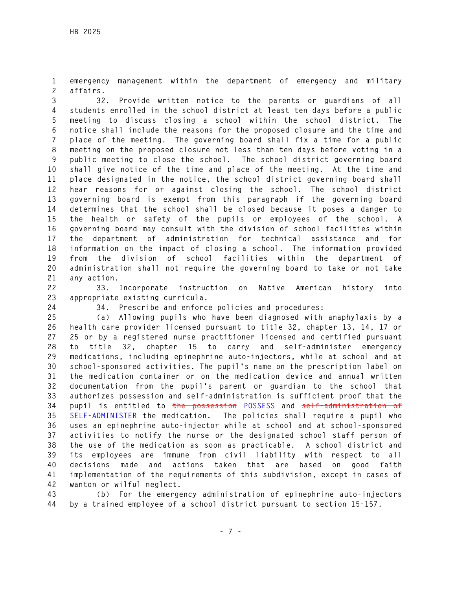**1 emergency management within the department of emergency and military 2 affairs.** 

**3 32. Provide written notice to the parents or guardians of all 4 students enrolled in the school district at least ten days before a public 5 meeting to discuss closing a school within the school district. The 6 notice shall include the reasons for the proposed closure and the time and 7 place of the meeting. The governing board shall fix a time for a public 8 meeting on the proposed closure not less than ten days before voting in a 9 public meeting to close the school. The school district governing board 10 shall give notice of the time and place of the meeting. At the time and 11 place designated in the notice, the school district governing board shall 12 hear reasons for or against closing the school. The school district 13 governing board is exempt from this paragraph if the governing board 14 determines that the school shall be closed because it poses a danger to 15 the health or safety of the pupils or employees of the school. A 16 governing board may consult with the division of school facilities within 17 the department of administration for technical assistance and for 18 information on the impact of closing a school. The information provided 19 from the division of school facilities within the department of 20 administration shall not require the governing board to take or not take 21 any action.** 

**22 33. Incorporate instruction on Native American history into 23 appropriate existing curricula.** 

**24 34. Prescribe and enforce policies and procedures:** 

**25 (a) Allowing pupils who have been diagnosed with anaphylaxis by a 26 health care provider licensed pursuant to title 32, chapter 13, 14, 17 or 27 25 or by a registered nurse practitioner licensed and certified pursuant 28 to title 32, chapter 15 to carry and self-administer emergency 29 medications, including epinephrine auto-injectors, while at school and at 30 school-sponsored activities. The pupil's name on the prescription label on 31 the medication container or on the medication device and annual written 32 documentation from the pupil's parent or guardian to the school that 33 authorizes possession and self-administration is sufficient proof that the 34 pupil is entitled to the possession POSSESS and self-administration of 35 SELF-ADMINISTER the medication. The policies shall require a pupil who 36 uses an epinephrine auto-injector while at school and at school-sponsored 37 activities to notify the nurse or the designated school staff person of 38 the use of the medication as soon as practicable. A school district and 39 its employees are immune from civil liability with respect to all 40 decisions made and actions taken that are based on good faith 41 implementation of the requirements of this subdivision, except in cases of 42 wanton or wilful neglect.** 

**43 (b) For the emergency administration of epinephrine auto-injectors 44 by a trained employee of a school district pursuant to section 15-157.**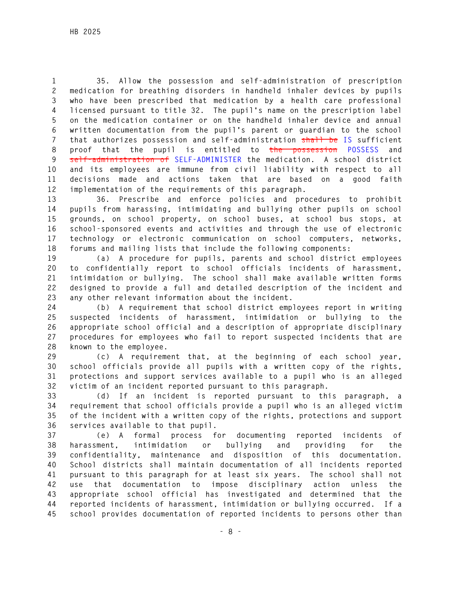**1 35. Allow the possession and self-administration of prescription 2 medication for breathing disorders in handheld inhaler devices by pupils 3 who have been prescribed that medication by a health care professional 4 licensed pursuant to title 32. The pupil's name on the prescription label 5 on the medication container or on the handheld inhaler device and annual 6 written documentation from the pupil's parent or guardian to the school 7 that authorizes possession and self-administration shall be IS sufficient 8 proof that the pupil is entitled to the possession POSSESS and 9 self-administration of SELF-ADMINISTER the medication. A school district 10 and its employees are immune from civil liability with respect to all 11 decisions made and actions taken that are based on a good faith 12 implementation of the requirements of this paragraph.** 

**13 36. Prescribe and enforce policies and procedures to prohibit 14 pupils from harassing, intimidating and bullying other pupils on school 15 grounds, on school property, on school buses, at school bus stops, at 16 school-sponsored events and activities and through the use of electronic 17 technology or electronic communication on school computers, networks, 18 forums and mailing lists that include the following components:** 

**19 (a) A procedure for pupils, parents and school district employees 20 to confidentially report to school officials incidents of harassment, 21 intimidation or bullying. The school shall make available written forms 22 designed to provide a full and detailed description of the incident and 23 any other relevant information about the incident.** 

**24 (b) A requirement that school district employees report in writing 25 suspected incidents of harassment, intimidation or bullying to the 26 appropriate school official and a description of appropriate disciplinary 27 procedures for employees who fail to report suspected incidents that are 28 known to the employee.** 

**29 (c) A requirement that, at the beginning of each school year, 30 school officials provide all pupils with a written copy of the rights, 31 protections and support services available to a pupil who is an alleged 32 victim of an incident reported pursuant to this paragraph.** 

**33 (d) If an incident is reported pursuant to this paragraph, a 34 requirement that school officials provide a pupil who is an alleged victim 35 of the incident with a written copy of the rights, protections and support 36 services available to that pupil.** 

**37 (e) A formal process for documenting reported incidents of 38 harassment, intimidation or bullying and providing for the 39 confidentiality, maintenance and disposition of this documentation. 40 School districts shall maintain documentation of all incidents reported 41 pursuant to this paragraph for at least six years. The school shall not 42 use that documentation to impose disciplinary action unless the 43 appropriate school official has investigated and determined that the 44 reported incidents of harassment, intimidation or bullying occurred. If a 45 school provides documentation of reported incidents to persons other than**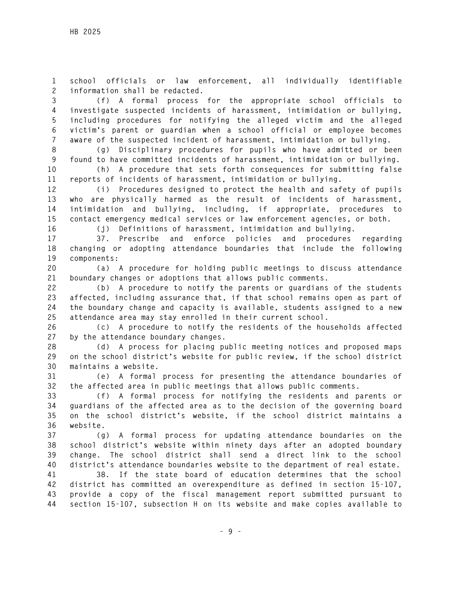**1 school officials or law enforcement, all individually identifiable 2 information shall be redacted.** 

**3 (f) A formal process for the appropriate school officials to 4 investigate suspected incidents of harassment, intimidation or bullying, 5 including procedures for notifying the alleged victim and the alleged 6 victim's parent or guardian when a school official or employee becomes 7 aware of the suspected incident of harassment, intimidation or bullying.** 

**8 (g) Disciplinary procedures for pupils who have admitted or been 9 found to have committed incidents of harassment, intimidation or bullying. 10 (h) A procedure that sets forth consequences for submitting false** 

**11 reports of incidents of harassment, intimidation or bullying.** 

**12 (i) Procedures designed to protect the health and safety of pupils 13 who are physically harmed as the result of incidents of harassment, 14 intimidation and bullying, including, if appropriate, procedures to 15 contact emergency medical services or law enforcement agencies, or both.** 

**16 (j) Definitions of harassment, intimidation and bullying.** 

**17 37. Prescribe and enforce policies and procedures regarding 18 changing or adopting attendance boundaries that include the following 19 components:** 

**20 (a) A procedure for holding public meetings to discuss attendance 21 boundary changes or adoptions that allows public comments.** 

**22 (b) A procedure to notify the parents or guardians of the students 23 affected, including assurance that, if that school remains open as part of 24 the boundary change and capacity is available, students assigned to a new 25 attendance area may stay enrolled in their current school.** 

**26 (c) A procedure to notify the residents of the households affected 27 by the attendance boundary changes.** 

**28 (d) A process for placing public meeting notices and proposed maps 29 on the school district's website for public review, if the school district 30 maintains a website.** 

**31 (e) A formal process for presenting the attendance boundaries of 32 the affected area in public meetings that allows public comments.** 

**33 (f) A formal process for notifying the residents and parents or 34 guardians of the affected area as to the decision of the governing board 35 on the school district's website, if the school district maintains a 36 website.** 

**37 (g) A formal process for updating attendance boundaries on the 38 school district's website within ninety days after an adopted boundary 39 change. The school district shall send a direct link to the school 40 district's attendance boundaries website to the department of real estate.** 

**41 38. If the state board of education determines that the school 42 district has committed an overexpenditure as defined in section 15-107, 43 provide a copy of the fiscal management report submitted pursuant to 44 section 15-107, subsection H on its website and make copies available to**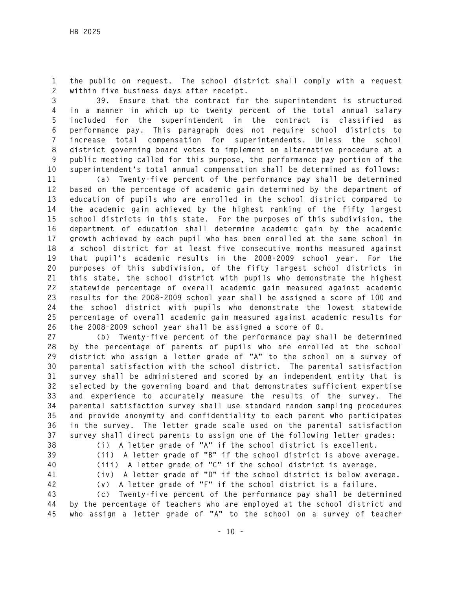**1 the public on request. The school district shall comply with a request 2 within five business days after receipt.** 

**3 39. Ensure that the contract for the superintendent is structured 4 in a manner in which up to twenty percent of the total annual salary 5 included for the superintendent in the contract is classified as 6 performance pay. This paragraph does not require school districts to 7 increase total compensation for superintendents. Unless the school 8 district governing board votes to implement an alternative procedure at a 9 public meeting called for this purpose, the performance pay portion of the 10 superintendent's total annual compensation shall be determined as follows:** 

**11 (a) Twenty-five percent of the performance pay shall be determined 12 based on the percentage of academic gain determined by the department of 13 education of pupils who are enrolled in the school district compared to 14 the academic gain achieved by the highest ranking of the fifty largest 15 school districts in this state. For the purposes of this subdivision, the 16 department of education shall determine academic gain by the academic 17 growth achieved by each pupil who has been enrolled at the same school in 18 a school district for at least five consecutive months measured against 19 that pupil's academic results in the 2008-2009 school year. For the 20 purposes of this subdivision, of the fifty largest school districts in 21 this state, the school district with pupils who demonstrate the highest 22 statewide percentage of overall academic gain measured against academic 23 results for the 2008-2009 school year shall be assigned a score of 100 and 24 the school district with pupils who demonstrate the lowest statewide 25 percentage of overall academic gain measured against academic results for 26 the 2008-2009 school year shall be assigned a score of 0.** 

**27 (b) Twenty-five percent of the performance pay shall be determined 28 by the percentage of parents of pupils who are enrolled at the school 29 district who assign a letter grade of "A" to the school on a survey of 30 parental satisfaction with the school district. The parental satisfaction 31 survey shall be administered and scored by an independent entity that is 32 selected by the governing board and that demonstrates sufficient expertise 33 and experience to accurately measure the results of the survey. The 34 parental satisfaction survey shall use standard random sampling procedures 35 and provide anonymity and confidentiality to each parent who participates 36 in the survey. The letter grade scale used on the parental satisfaction 37 survey shall direct parents to assign one of the following letter grades:** 

- 
- 
- 
- 

**38 (i) A letter grade of "A" if the school district is excellent. 39 (ii) A letter grade of "B" if the school district is above average.** 

- **40 (iii) A letter grade of "C" if the school district is average.**
- **41 (iv) A letter grade of "D" if the school district is below average. 42 (v) A letter grade of "F" if the school district is a failure.**

**43 (c) Twenty-five percent of the performance pay shall be determined 44 by the percentage of teachers who are employed at the school district and 45 who assign a letter grade of "A" to the school on a survey of teacher**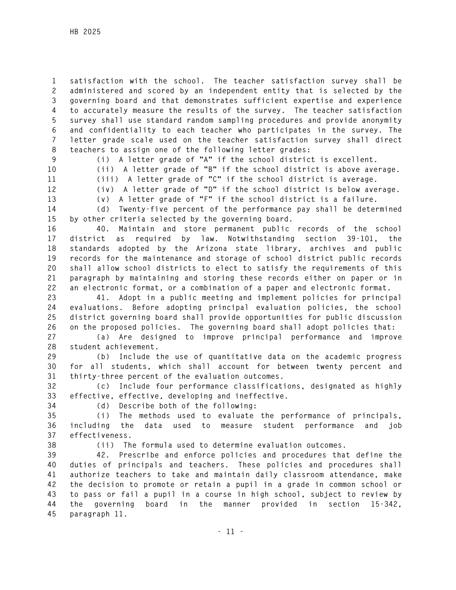**1 satisfaction with the school. The teacher satisfaction survey shall be 2 administered and scored by an independent entity that is selected by the 3 governing board and that demonstrates sufficient expertise and experience 4 to accurately measure the results of the survey. The teacher satisfaction 5 survey shall use standard random sampling procedures and provide anonymity 6 and confidentiality to each teacher who participates in the survey. The 7 letter grade scale used on the teacher satisfaction survey shall direct 8 teachers to assign one of the following letter grades:** 

**9 (i) A letter grade of "A" if the school district is excellent.** 

**10 (ii) A letter grade of "B" if the school district is above average.** 

**11 (iii) A letter grade of "C" if the school district is average.** 

**12 (iv) A letter grade of "D" if the school district is below average.** 

**13 (v) A letter grade of "F" if the school district is a failure. 14 (d) Twenty-five percent of the performance pay shall be determined 15 by other criteria selected by the governing board.** 

**16 40. Maintain and store permanent public records of the school 17 district as required by law. Notwithstanding section 39-101, the 18 standards adopted by the Arizona state library, archives and public 19 records for the maintenance and storage of school district public records 20 shall allow school districts to elect to satisfy the requirements of this 21 paragraph by maintaining and storing these records either on paper or in 22 an electronic format, or a combination of a paper and electronic format.** 

**23 41. Adopt in a public meeting and implement policies for principal 24 evaluations. Before adopting principal evaluation policies, the school 25 district governing board shall provide opportunities for public discussion 26 on the proposed policies. The governing board shall adopt policies that:** 

**27 (a) Are designed to improve principal performance and improve 28 student achievement.** 

**29 (b) Include the use of quantitative data on the academic progress 30 for all students, which shall account for between twenty percent and 31 thirty-three percent of the evaluation outcomes.** 

**32 (c) Include four performance classifications, designated as highly 33 effective, effective, developing and ineffective.** 

**34 (d) Describe both of the following:** 

**35 (i) The methods used to evaluate the performance of principals, 36 including the data used to measure student performance and job 37 effectiveness.** 

**38 (ii) The formula used to determine evaluation outcomes.** 

**39 42. Prescribe and enforce policies and procedures that define the 40 duties of principals and teachers. These policies and procedures shall 41 authorize teachers to take and maintain daily classroom attendance, make 42 the decision to promote or retain a pupil in a grade in common school or 43 to pass or fail a pupil in a course in high school, subject to review by 44 the governing board in the manner provided in section 15-342, 45 paragraph 11.**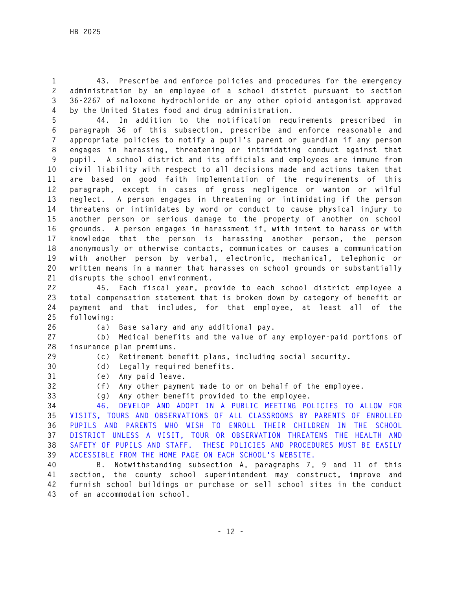- 
- 

**1 43. Prescribe and enforce policies and procedures for the emergency 2 administration by an employee of a school district pursuant to section 3 36-2267 of naloxone hydrochloride or any other opioid antagonist approved 4 by the United States food and drug administration.** 

**5 44. In addition to the notification requirements prescribed in 6 paragraph 36 of this subsection, prescribe and enforce reasonable and 7 appropriate policies to notify a pupil's parent or guardian if any person 8 engages in harassing, threatening or intimidating conduct against that 9 pupil. A school district and its officials and employees are immune from 10 civil liability with respect to all decisions made and actions taken that 11 are based on good faith implementation of the requirements of this 12 paragraph, except in cases of gross negligence or wanton or wilful 13 neglect. A person engages in threatening or intimidating if the person 14 threatens or intimidates by word or conduct to cause physical injury to 15 another person or serious damage to the property of another on school 16 grounds. A person engages in harassment if, with intent to harass or with 17 knowledge that the person is harassing another person, the person 18 anonymously or otherwise contacts, communicates or causes a communication 19 with another person by verbal, electronic, mechanical, telephonic or 20 written means in a manner that harasses on school grounds or substantially 21 disrupts the school environment.** 

**22 45. Each fiscal year, provide to each school district employee a 23 total compensation statement that is broken down by category of benefit or 24 payment and that includes, for that employee, at least all of the 25 following:** 

**26 (a) Base salary and any additional pay.** 

**27 (b) Medical benefits and the value of any employer-paid portions of 28 insurance plan premiums.** 

**29 (c) Retirement benefit plans, including social security.** 

- **30 (d) Legally required benefits. 31 (e) Any paid leave.**
- 

**32 (f) Any other payment made to or on behalf of the employee.** 

**33 (g) Any other benefit provided to the employee.** 

**34 46. DEVELOP AND ADOPT IN A PUBLIC MEETING POLICIES TO ALLOW FOR 35 VISITS, TOURS AND OBSERVATIONS OF ALL CLASSROOMS BY PARENTS OF ENROLLED 36 PUPILS AND PARENTS WHO WISH TO ENROLL THEIR CHILDREN IN THE SCHOOL 37 DISTRICT UNLESS A VISIT, TOUR OR OBSERVATION THREATENS THE HEALTH AND 38 SAFETY OF PUPILS AND STAFF. THESE POLICIES AND PROCEDURES MUST BE EASILY 39 ACCESSIBLE FROM THE HOME PAGE ON EACH SCHOOL'S WEBSITE.** 

**40 B. Notwithstanding subsection A, paragraphs 7, 9 and 11 of this 41 section, the county school superintendent may construct, improve and 42 furnish school buildings or purchase or sell school sites in the conduct 43 of an accommodation school.**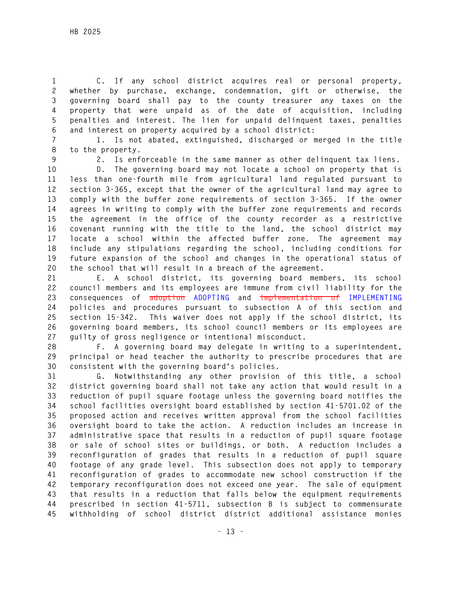**1 C. If any school district acquires real or personal property, 2 whether by purchase, exchange, condemnation, gift or otherwise, the 3 governing board shall pay to the county treasurer any taxes on the 4 property that were unpaid as of the date of acquisition, including 5 penalties and interest. The lien for unpaid delinquent taxes, penalties 6 and interest on property acquired by a school district:** 

**7 1. Is not abated, extinguished, discharged or merged in the title 8 to the property.** 

**9 2. Is enforceable in the same manner as other delinquent tax liens.** 

**10 D. The governing board may not locate a school on property that is 11 less than one-fourth mile from agricultural land regulated pursuant to 12 section 3-365, except that the owner of the agricultural land may agree to 13 comply with the buffer zone requirements of section 3-365. If the owner 14 agrees in writing to comply with the buffer zone requirements and records 15 the agreement in the office of the county recorder as a restrictive 16 covenant running with the title to the land, the school district may 17 locate a school within the affected buffer zone. The agreement may 18 include any stipulations regarding the school, including conditions for 19 future expansion of the school and changes in the operational status of 20 the school that will result in a breach of the agreement.** 

**21 E. A school district, its governing board members, its school 22 council members and its employees are immune from civil liability for the 23 consequences of adoption ADOPTING and implementation of IMPLEMENTING 24 policies and procedures pursuant to subsection A of this section and 25 section 15-342. This waiver does not apply if the school district, its 26 governing board members, its school council members or its employees are 27 guilty of gross negligence or intentional misconduct.** 

**28 F. A governing board may delegate in writing to a superintendent, 29 principal or head teacher the authority to prescribe procedures that are 30 consistent with the governing board's policies.** 

**31 G. Notwithstanding any other provision of this title, a school 32 district governing board shall not take any action that would result in a 33 reduction of pupil square footage unless the governing board notifies the 34 school facilities oversight board established by section 41-5701.02 of the 35 proposed action and receives written approval from the school facilities 36 oversight board to take the action. A reduction includes an increase in 37 administrative space that results in a reduction of pupil square footage 38 or sale of school sites or buildings, or both. A reduction includes a 39 reconfiguration of grades that results in a reduction of pupil square 40 footage of any grade level. This subsection does not apply to temporary 41 reconfiguration of grades to accommodate new school construction if the 42 temporary reconfiguration does not exceed one year. The sale of equipment 43 that results in a reduction that falls below the equipment requirements 44 prescribed in section 41-5711, subsection B is subject to commensurate 45 withholding of school district district additional assistance monies**